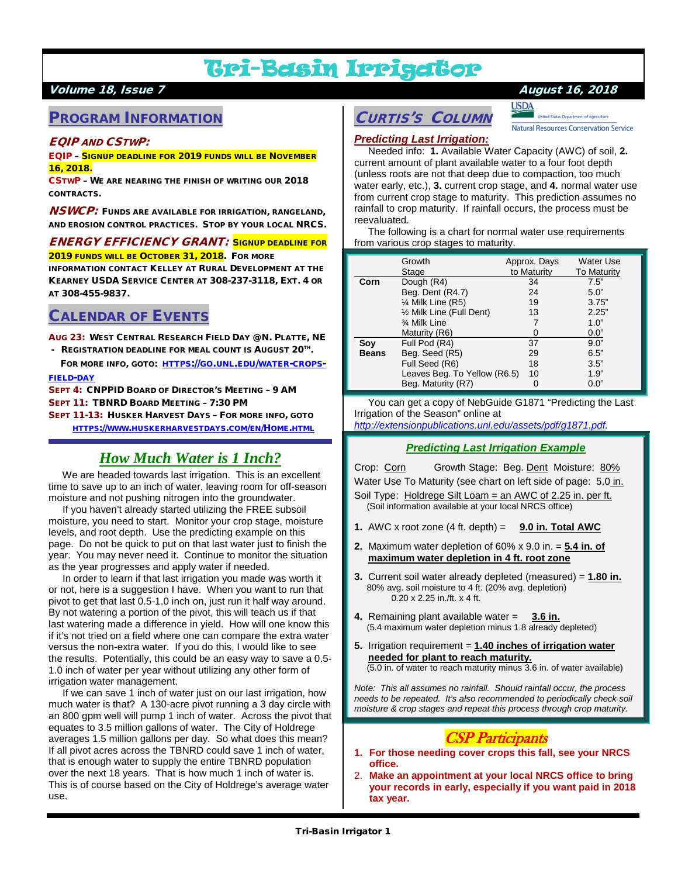# Tri-Basin Irrigator

## Volume 18, Issue 7 August 16, 2018

# PROGRAM INFORMATION

## EQIP AND CSTWP:

#### EQIP – SIGNUP DEADLINE FOR 2019 FUNDS WILL BE NOVEMBER 16, 2018.

CSTWP – WE ARE NEARING THE FINISH OF WRITING OUR 2018 CONTRACTS.

**NSWCP**: FUNDS ARE AVAILABLE FOR IRRIGATION, RANGELAND, AND EROSION CONTROL PRACTICES. STOP BY YOUR LOCAL NRCS.

#### ENERGY EFFICIENCY GRANT: SIGNUP DEADLINE FOR 2019 FUNDS WILL BE OCTOBER 31, 2018. FOR MORE

INFORMATION CONTACT KELLEY AT RURAL DEVELOPMENT AT THE KEARNEY USDA SERVICE CENTER AT 308-237-3118, EXT. 4 OR AT 308-455-9837.

# CALENDAR OF EVENTS

AUG 23: WEST CENTRAL RESEARCH FIELD DAY @ N. PLATTE, NE

- REGISTRATION DEADLINE FOR MEAL COUNT IS AUGUST 20TH.
- FOR MORE INFO, GOTO: [HTTPS://GO.UNL.EDU/WATER-CROPS-](https://go.unl.edu/water-crops-field-day)[FIELD-DAY](https://go.unl.edu/water-crops-field-day)
- SEPT 4: CNPPID BOARD OF DIRECTOR'S MEETING 9 AM SEPT 11: TBNRD BOARD MEETING – 7:30 PM

SEPT 11-13: HUSKER HARVEST DAYS – FOR MORE INFO, GOTO [HTTPS://WWW.HUSKERHARVESTDAYS.COM/EN/HOME.HTML](https://www.huskerharvestdays.com/en/Home.html)

# *How Much Water is 1 Inch?*

 We are headed towards last irrigation. This is an excellent time to save up to an inch of water, leaving room for off-season moisture and not pushing nitrogen into the groundwater.

 If you haven't already started utilizing the FREE subsoil moisture, you need to start. Monitor your crop stage, moisture levels, and root depth. Use the predicting example on this page. Do not be quick to put on that last water just to finish the year. You may never need it. Continue to monitor the situation as the year progresses and apply water if needed.

 In order to learn if that last irrigation you made was worth it or not, here is a suggestion I have. When you want to run that pivot to get that last 0.5-1.0 inch on, just run it half way around. By not watering a portion of the pivot, this will teach us if that last watering made a difference in yield. How will one know this if it's not tried on a field where one can compare the extra water versus the non-extra water. If you do this, I would like to see the results. Potentially, this could be an easy way to save a 0.5- 1.0 inch of water per year without utilizing any other form of irrigation water management.

 If we can save 1 inch of water just on our last irrigation, how much water is that? A 130-acre pivot running a 3 day circle with an 800 gpm well will pump 1 inch of water. Across the pivot that equates to 3.5 million gallons of water. The City of Holdrege averages 1.5 million gallons per day. So what does this mean? If all pivot acres across the TBNRD could save 1 inch of water, that is enough water to supply the entire TBNRD population over the next 18 years. That is how much 1 inch of water is. This is of course based on the City of Holdrege's average water use.

# CURTIS'S COLUMN



**Natural Resources Conservation Service** 

## *Predicting Last Irrigation:*

 Needed info: **1.** Available Water Capacity (AWC) of soil, **2.** current amount of plant available water to a four foot depth (unless roots are not that deep due to compaction, too much water early, etc.), **3.** current crop stage, and **4.** normal water use from current crop stage to maturity. This prediction assumes no rainfall to crop maturity. If rainfall occurs, the process must be reevaluated.

 The following is a chart for normal water use requirements from various crop stages to maturity.

|              | Growth                       | Approx. Days | <b>Water Use</b>   |
|--------------|------------------------------|--------------|--------------------|
|              | Stage                        | to Maturity  | <b>To Maturity</b> |
| Corn         | Dough (R4)                   | 34           | 7.5"               |
|              | Beg. Dent (R4.7)             | 24           | 5.0"               |
|              | $\frac{1}{4}$ Milk Line (R5) | 19           | 3.75"              |
|              | 1/2 Milk Line (Full Dent)    | 13           | 2.25"              |
|              | 3⁄4 Milk Line                |              | 1.0"               |
|              | Maturity (R6)                |              | 0.0"               |
| Soy          | Full Pod (R4)                | 37           | 9.0"               |
| <b>Beans</b> | Beg. Seed (R5)               | 29           | 6.5"               |
|              | Full Seed (R6)               | 18           | 3.5"               |
|              | Leaves Beg. To Yellow (R6.5) | 10           | 1.9"               |
|              | Beg. Maturity (R7)           | O            | 0.0"               |

 You can get a copy of NebGuide G1871 "Predicting the Last Irrigation of the Season" online at

## *[http://extensionpublications.unl.edu/assets/pdf/g1871.pdf.](http://extensionpublications.unl.edu/assets/pdf/g1871.pdf)*

#### *Predicting Last Irrigation Example*

Crop: Corn Growth Stage: Beg. Dent Moisture: 80% Water Use To Maturity (see chart on left side of page: 5.0 in. Soil Type: Holdrege Silt Loam = an AWC of 2.25 in. per ft. (Soil information available at your local NRCS office)

- **1.** AWC x root zone  $(4 \text{ ft. depth}) = 9.0 \text{ in. Total AWC}$
- **2.** Maximum water depletion of 60% x 9.0 in. = **5.4 in. of maximum water depletion in 4 ft. root zone**
- **3.** Current soil water already depleted (measured) = **1.80 in.** 80% avg. soil moisture to 4 ft. (20% avg. depletion) 0.20 x 2.25 in./ft. x 4 ft.
- **4.** Remaining plant available water = **3.6 in.** (5.4 maximum water depletion minus 1.8 already depleted)
- **5.** Irrigation requirement = **1.40 inches of irrigation water needed for plant to reach maturity.** (5.0 in. of water to reach maturity minus 3.6 in. of water available)

*Note: This all assumes no rainfall. Should rainfall occur, the process needs to be repeated. It's also recommended to periodically check soil moisture & crop stages and repeat this process through crop maturity.*

# CSP Participants

- **1. For those needing cover crops this fall, see your NRCS office.**
- 2. **Make an appointment at your local NRCS office to bring your records in early, especially if you want paid in 2018 tax year.**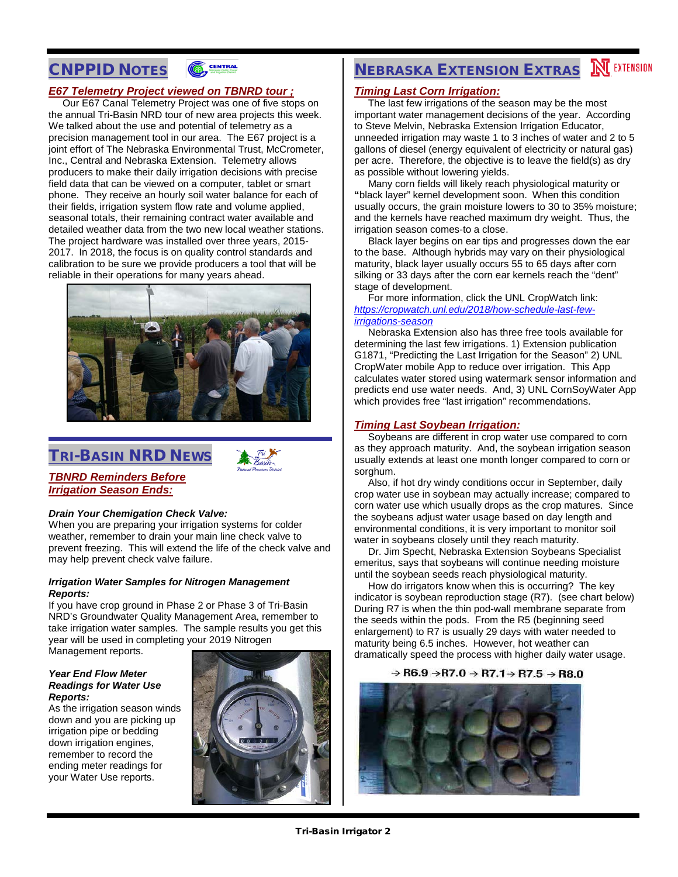# CNPPID NOTES



## *E67 Telemetry Project viewed on TBNRD tour ;*

 Our E67 Canal Telemetry Project was one of five stops on the annual Tri-Basin NRD tour of new area projects this week. We talked about the use and potential of telemetry as a precision management tool in our area. The E67 project is a joint effort of The Nebraska Environmental Trust, McCrometer, Inc., Central and Nebraska Extension. Telemetry allows producers to make their daily irrigation decisions with precise field data that can be viewed on a computer, tablet or smart phone. They receive an hourly soil water balance for each of their fields, irrigation system flow rate and volume applied, seasonal totals, their remaining contract water available and detailed weather data from the two new local weather stations. The project hardware was installed over three years, 2015- 2017. In 2018, the focus is on quality control standards and calibration to be sure we provide producers a tool that will be reliable in their operations for many years ahead.



# TRI-BASIN NRD NEWS



## *TBNRD Reminders Before Irrigation Season Ends:*

#### *Drain Your Chemigation Check Valve:*

When you are preparing your irrigation systems for colder weather, remember to drain your main line check valve to prevent freezing. This will extend the life of the check valve and may help prevent check valve failure.

#### *Irrigation Water Samples for Nitrogen Management Reports:*

If you have crop ground in Phase 2 or Phase 3 of Tri-Basin NRD's Groundwater Quality Management Area, remember to take irrigation water samples. The sample results you get this year will be used in completing your 2019 Nitrogen

## Management reports.

#### *Year End Flow Meter Readings for Water Use Reports:*

As the irrigation season winds down and you are picking up irrigation pipe or bedding down irrigation engines, remember to record the ending meter readings for your Water Use reports.



# **NEBRASKA EXTENSION EXTRAS MEXTENSION**

#### *Timing Last Corn Irrigation:*

 The last few irrigations of the season may be the most important water management decisions of the year. According to Steve Melvin, Nebraska Extension Irrigation Educator, unneeded irrigation may waste 1 to 3 inches of water and 2 to 5 gallons of diesel (energy equivalent of electricity or natural gas) per acre. Therefore, the objective is to leave the field(s) as dry as possible without lowering yields.

 Many corn fields will likely reach physiological maturity or **"**black layer" kernel development soon. When this condition usually occurs, the grain moisture lowers to 30 to 35% moisture; and the kernels have reached maximum dry weight. Thus, the irrigation season comes-to a close.

 Black layer begins on ear tips and progresses down the ear to the base. Although hybrids may vary on their physiological maturity, black layer usually occurs 55 to 65 days after corn silking or 33 days after the corn ear kernels reach the "dent" stage of development.

 For more information, click the UNL CropWatch link: *[https://cropwatch.unl.edu/2018/how-schedule-last-few](https://cropwatch.unl.edu/2018/how-schedule-last-few-irrigations-season)[irrigations-season](https://cropwatch.unl.edu/2018/how-schedule-last-few-irrigations-season)*

 Nebraska Extension also has three free tools available for determining the last few irrigations. 1) Extension publication G1871, "Predicting the Last Irrigation for the Season" 2) UNL CropWater mobile App to reduce over irrigation. This App calculates water stored using watermark sensor information and predicts end use water needs. And, 3) UNL CornSoyWater App which provides free "last irrigation" recommendations.

#### *Timing Last Soybean Irrigation:*

 Soybeans are different in crop water use compared to corn as they approach maturity. And, the soybean irrigation season usually extends at least one month longer compared to corn or sorghum.

 Also, if hot dry windy conditions occur in September, daily crop water use in soybean may actually increase; compared to corn water use which usually drops as the crop matures. Since the soybeans adjust water usage based on day length and environmental conditions, it is very important to monitor soil water in soybeans closely until they reach maturity.

 Dr. Jim Specht, Nebraska Extension Soybeans Specialist emeritus, says that soybeans will continue needing moisture until the soybean seeds reach physiological maturity.

 How do irrigators know when this is occurring? The key indicator is soybean reproduction stage (R7). (see chart below) During R7 is when the thin pod-wall membrane separate from the seeds within the pods. From the R5 (beginning seed enlargement) to R7 is usually 29 days with water needed to maturity being 6.5 inches. However, hot weather can dramatically speed the process with higher daily water usage.

#### $\rightarrow$  R6.9  $\rightarrow$  R7.0  $\rightarrow$  R7.1 $\rightarrow$  R7.5  $\rightarrow$  R8.0

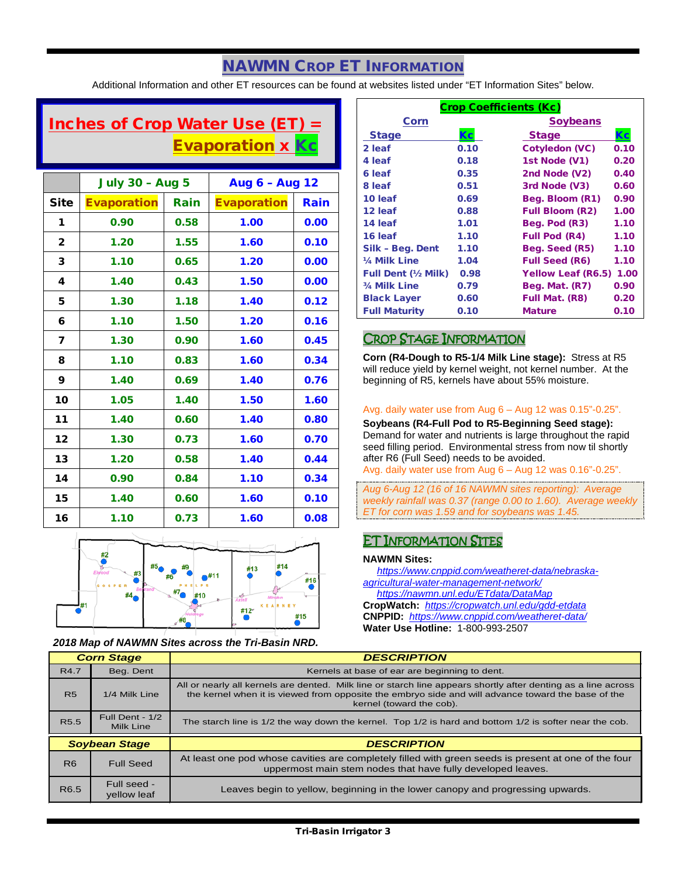# NAWMN CROP ET INFORMATION

Additional Information and other ET resources can be found at websites listed under "ET Information Sites" below.

# Inches of Crop Water Use (ET)  $=$ Evaporation x Kc

|              | <b>July 30 - Aug 5</b> |      | Aug 6 - Aug 12     |      |
|--------------|------------------------|------|--------------------|------|
| <b>Site</b>  | <b>Evaporation</b>     | Rain | <b>Evaporation</b> | Rain |
| 1            | 0.90                   | 0.58 | 1.00               | 0.00 |
| $\mathbf{2}$ | 1.20                   | 1.55 | 1.60               | 0.10 |
| 3            | 1.10                   | 0.65 | 1.20               | 0.00 |
| 4            | 1.40                   | 0.43 | 1.50               | 0.00 |
| 5            | 1.30                   | 1.18 | 1.40               | 0.12 |
| 6            | 1.10                   | 1.50 | 1.20               | 0.16 |
| 7            | 1.30                   | 0.90 | 1.60               | 0.45 |
| 8            | 1.10                   | 0.83 | 1.60               | 0.34 |
| 9            | 1.40                   | 0.69 | 1.40               | 0.76 |
| 10           | 1.05                   | 1.40 | 1.50               | 1.60 |
| 11           | 1.40                   | 0.60 | 1.40               | 0.80 |
| 12           | 1.30                   | 0.73 | 1.60               | 0.70 |
| 13           | 1.20                   | 0.58 | 1.40               | 0.44 |
| 14           | 0.90                   | 0.84 | 1.10               | 0.34 |
| 15           | 1.40                   | 0.60 | 1.60               | 0.10 |
| 16           | 1.10                   | 0.73 | 1.60               | 0.08 |



*2018 Map of NAWMN Sites across the Tri-Basin NRD.*

| <b>Crop Coefficients (Kc)</b> |      |                           |      |  |
|-------------------------------|------|---------------------------|------|--|
| Corn                          |      | <b>Soybeans</b>           |      |  |
| <b>Stage</b>                  | Кc   | <b>Stage</b>              | Кc   |  |
| 2 leaf                        | 0.10 | <b>Cotyledon (VC)</b>     | 0.10 |  |
| 4 leaf                        | 0.18 | 1st Node (V1)             | 0.20 |  |
| 6 leaf                        | 0.35 | 2nd Node (V2)             | 0.40 |  |
| 8 leaf                        | 0.51 | 3rd Node (V3)             | 0.60 |  |
| 10 leaf                       | 0.69 | Beg. Bloom (R1)           | 0.90 |  |
| 12 leaf                       | 0.88 | <b>Full Bloom (R2)</b>    | 1.00 |  |
| 14 leaf                       | 1.01 | Beg. Pod (R3)             | 1.10 |  |
| 16 leaf                       | 1.10 | <b>Full Pod (R4)</b>      | 1.10 |  |
| Silk - Beg. Dent              | 1.10 | Beg. Seed (R5)            | 1.10 |  |
| 1/4 Milk Line                 | 1.04 | <b>Full Seed (R6)</b>     | 1.10 |  |
| <b>Full Dent (1/2 Milk)</b>   | 0.98 | <b>Yellow Leaf (R6.5)</b> | 1.00 |  |
| 3/4 Milk Line                 | 0.79 | Beg. Mat. (R7)            | 0.90 |  |
| <b>Black Layer</b>            | 0.60 | Full Mat. (R8)            | 0.20 |  |
| <b>Full Maturity</b>          | 0.10 | <b>Mature</b>             | 0.10 |  |

## CROP STAGE INFORMATION

**Corn (R4-Dough to R5-1/4 Milk Line stage):** Stress at R5 will reduce yield by kernel weight, not kernel number. At the beginning of R5, kernels have about 55% moisture.

#### Avg. daily water use from Aug 6 – Aug 12 was 0.15"-0.25".

**Soybeans (R4-Full Pod to R5-Beginning Seed stage):** Demand for water and nutrients is large throughout the rapid seed filling period. Environmental stress from now til shortly after R6 (Full Seed) needs to be avoided.

Avg. daily water use from Aug 6 – Aug 12 was 0.16"-0.25".

*Aug 6-Aug 12 (16 of 16 NAWMN sites reporting): Average weekly rainfall was 0.37 (range 0.00 to 1.60). Average weekly ET for corn was 1.59 and for soybeans was 1.45.*

# ET INFORMATION SITES

#### **NAWMN Sites:**

 *[https://www.cnppid.com/weatheret-data/nebraska](https://www.cnppid.com/weatheret-data/nebraska-agricultural-water-management-network/)[agricultural-water-management-network/](https://www.cnppid.com/weatheret-data/nebraska-agricultural-water-management-network/)*

 *<https://nawmn.unl.edu/ETdata/DataMap>* **CropWatch:** *<https://cropwatch.unl.edu/gdd-etdata>* **CNPPID:** *<https://www.cnppid.com/weatheret-data/>* **Water Use Hotline:** 1-800-993-2507

| <b>Corn Stage</b> |                              | <b>DESCRIPTION</b>                                                                                                                                                                                                                              |  |  |
|-------------------|------------------------------|-------------------------------------------------------------------------------------------------------------------------------------------------------------------------------------------------------------------------------------------------|--|--|
| R4.7              | Beg. Dent                    | Kernels at base of ear are beginning to dent.                                                                                                                                                                                                   |  |  |
| <b>R5</b>         | 1/4 Milk Line                | All or nearly all kernels are dented. Milk line or starch line appears shortly after denting as a line across<br>the kernel when it is viewed from opposite the embryo side and will advance toward the base of the<br>kernel (toward the cob). |  |  |
| R <sub>5.5</sub>  | Full Dent - 1/2<br>Milk Line | The starch line is $1/2$ the way down the kernel. Top $1/2$ is hard and bottom $1/2$ is softer near the cob.                                                                                                                                    |  |  |
|                   |                              |                                                                                                                                                                                                                                                 |  |  |
|                   | <b>Soybean Stage</b>         | <b>DESCRIPTION</b>                                                                                                                                                                                                                              |  |  |
| R <sub>6</sub>    | <b>Full Seed</b>             | At least one pod whose cavities are completely filled with green seeds is present at one of the four<br>uppermost main stem nodes that have fully developed leaves.                                                                             |  |  |